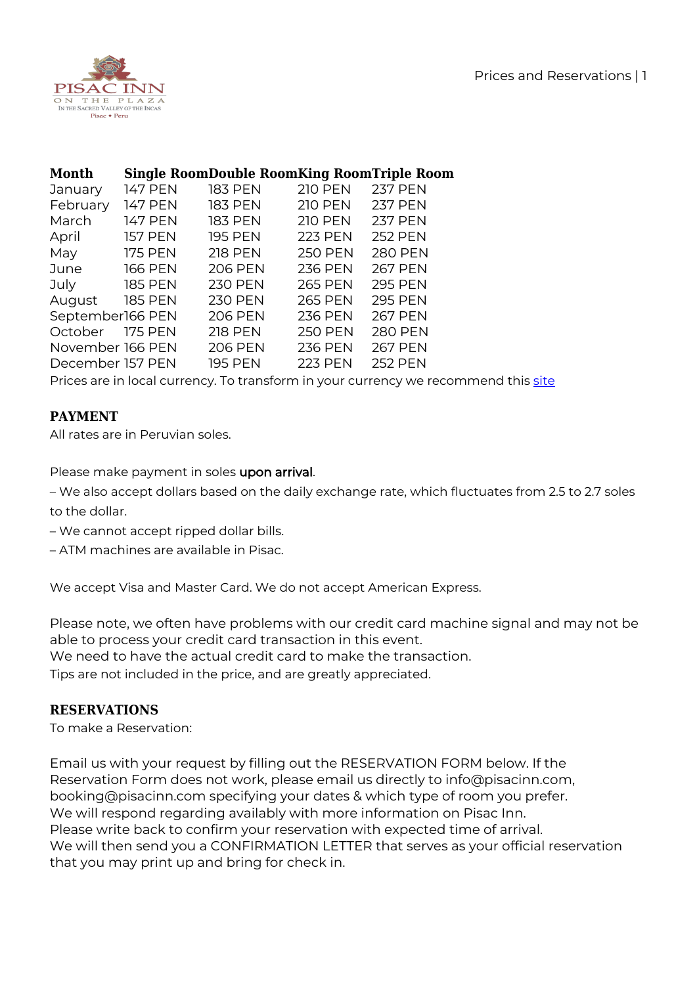

## **Month Single RoomDouble RoomKing RoomTriple Room**

| January          | 147 PEN        | <b>183 PEN</b> | <b>210 PEN</b> | <b>237 PEN</b> |
|------------------|----------------|----------------|----------------|----------------|
| February         | <b>147 PEN</b> | <b>183 PEN</b> | <b>210 PEN</b> | <b>237 PEN</b> |
| March            | <b>147 PEN</b> | <b>183 PEN</b> | <b>210 PEN</b> | <b>237 PEN</b> |
| April            | <b>157 PEN</b> | <b>195 PEN</b> | <b>223 PEN</b> | <b>252 PEN</b> |
| May              | <b>175 PEN</b> | <b>218 PEN</b> | <b>250 PEN</b> | <b>280 PEN</b> |
| June             | <b>166 PEN</b> | <b>206 PEN</b> | <b>236 PEN</b> | <b>267 PEN</b> |
| July             | <b>185 PEN</b> | <b>230 PEN</b> | <b>265 PEN</b> | <b>295 PEN</b> |
| August           | <b>185 PEN</b> | <b>230 PEN</b> | <b>265 PEN</b> | <b>295 PEN</b> |
| September166 PEN |                | <b>206 PEN</b> | <b>236 PEN</b> | <b>267 PEN</b> |
| October          | <b>175 PEN</b> | <b>218 PEN</b> | <b>250 PEN</b> | <b>280 PEN</b> |
| November 166 PEN |                | <b>206 PEN</b> | <b>236 PEN</b> | <b>267 PEN</b> |
| December 157 PEN |                | <b>195 PEN</b> | <b>223 PEN</b> | <b>252 PEN</b> |
|                  |                |                |                |                |

Prices are in local currency. To transform in your currency we recommend this [site](https://xe.com)

# **PAYMENT**

All rates are in Peruvian soles.

Please make payment in soles upon arrival.

- We also accept dollars based on the daily exchange rate, which fluctuates from 2.5 to 2.7 soles to the dollar.
- We cannot accept ripped dollar bills.
- ATM machines are available in Pisac.

We accept Visa and Master Card. We do not accept American Express.

Please note, we often have problems with our credit card machine signal and may not be able to process your credit card transaction in this event. We need to have the actual credit card to make the transaction.

Tips are not included in the price, and are greatly appreciated.

### **RESERVATIONS**

To make a Reservation:

Email us with your request by filling out the RESERVATION FORM below. If the Reservation Form does not work, please email us directly to info@pisacinn.com, booking@pisacinn.com specifying your dates & which type of room you prefer. We will respond regarding availably with more information on Pisac Inn. Please write back to confirm your reservation with expected time of arrival. We will then send you a CONFIRMATION LETTER that serves as your official reservation that you may print up and bring for check in.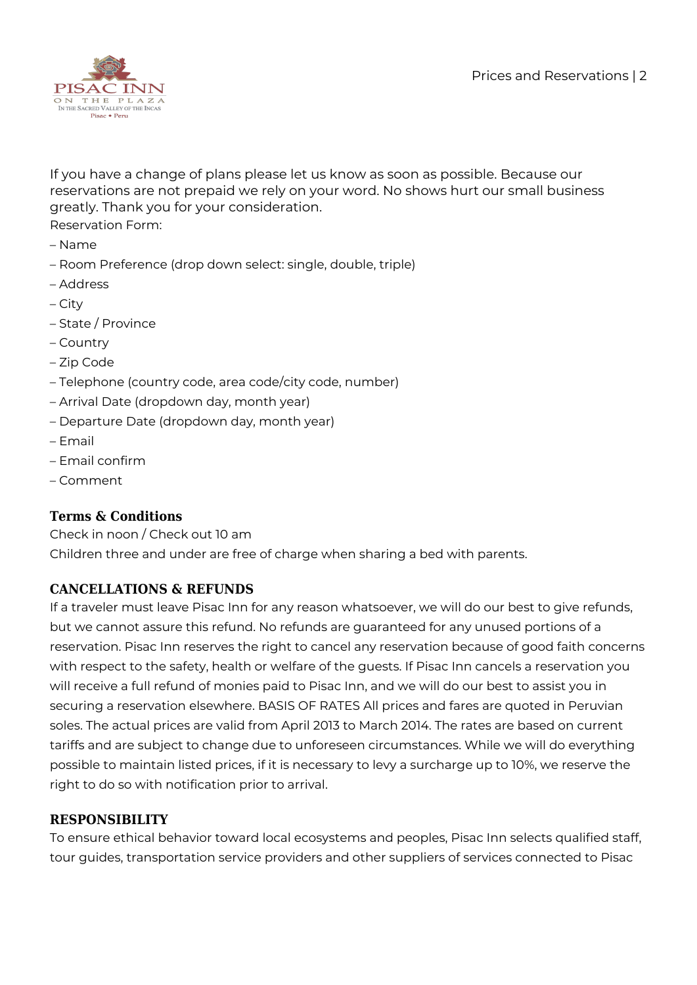

If you have a change of plans please let us know as soon as possible. Because our reservations are not prepaid we rely on your word. No shows hurt our small business greatly. Thank you for your consideration.

Reservation Form:

- Name
- Room Preference (drop down select: single, double, triple)
- Address
- City
- State / Province
- Country
- Zip Code
- Telephone (country code, area code/city code, number)
- Arrival Date (dropdown day, month year)
- Departure Date (dropdown day, month year)
- Email
- Email confirm
- Comment

### **Terms & Conditions**

Check in noon / Check out 10 am

Children three and under are free of charge when sharing a bed with parents.

### **CANCELLATIONS & REFUNDS**

If a traveler must leave Pisac Inn for any reason whatsoever, we will do our best to give refunds, but we cannot assure this refund. No refunds are guaranteed for any unused portions of a reservation. Pisac Inn reserves the right to cancel any reservation because of good faith concerns with respect to the safety, health or welfare of the guests. If Pisac Inn cancels a reservation you will receive a full refund of monies paid to Pisac Inn, and we will do our best to assist you in securing a reservation elsewhere. BASIS OF RATES All prices and fares are quoted in Peruvian soles. The actual prices are valid from April 2013 to March 2014. The rates are based on current tariffs and are subject to change due to unforeseen circumstances. While we will do everything possible to maintain listed prices, if it is necessary to levy a surcharge up to 10%, we reserve the right to do so with notification prior to arrival.

### **RESPONSIBILITY**

To ensure ethical behavior toward local ecosystems and peoples, Pisac Inn selects qualified staff, tour guides, transportation service providers and other suppliers of services connected to Pisac